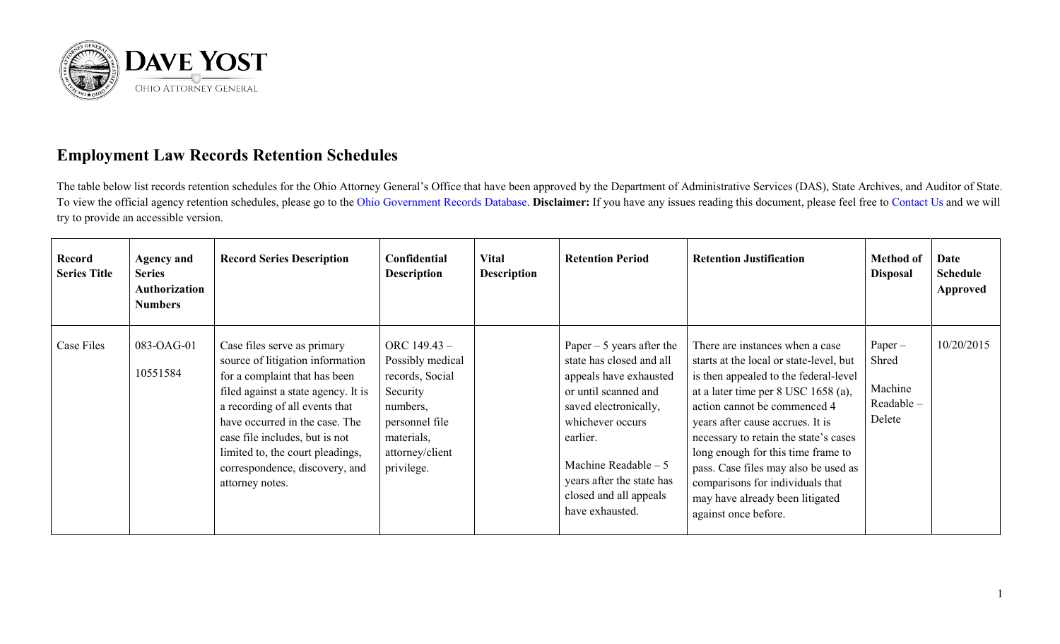

## **Employment Law Records Retention Schedules**

The table below list records retention schedules for the Ohio Attorney General's Office that have been approved by the Department of Administrative Services (DAS), State Archives, and Auditor of State. To view the official agency retention schedules, please go to the [Ohio Government Records Database.](https://apps.das.ohio.gov/rims/default/Default.asp) **Disclaimer:** If you have any issues reading this document, please feel free to [Contact Us](https://www.ohioattorneygeneral.gov/About-AG/Contact) and we will try to provide an accessible version.

| <b>Record</b><br><b>Series Title</b> | <b>Agency and</b><br><b>Series</b><br>Authorization<br><b>Numbers</b> | <b>Record Series Description</b>                                                                                                                                                                                                                                                                                                       | Confidential<br><b>Description</b>                                                                                                             | <b>Vital</b><br><b>Description</b> | <b>Retention Period</b>                                                                                                                                                                                                                                              | <b>Retention Justification</b>                                                                                                                                                                                                                                                                                                                                                                                                                       | <b>Method of</b><br><b>Disposal</b>                 | Date<br><b>Schedule</b><br><b>Approved</b> |
|--------------------------------------|-----------------------------------------------------------------------|----------------------------------------------------------------------------------------------------------------------------------------------------------------------------------------------------------------------------------------------------------------------------------------------------------------------------------------|------------------------------------------------------------------------------------------------------------------------------------------------|------------------------------------|----------------------------------------------------------------------------------------------------------------------------------------------------------------------------------------------------------------------------------------------------------------------|------------------------------------------------------------------------------------------------------------------------------------------------------------------------------------------------------------------------------------------------------------------------------------------------------------------------------------------------------------------------------------------------------------------------------------------------------|-----------------------------------------------------|--------------------------------------------|
| Case Files                           | 083-OAG-01<br>10551584                                                | Case files serve as primary<br>source of litigation information<br>for a complaint that has been<br>filed against a state agency. It is<br>a recording of all events that<br>have occurred in the case. The<br>case file includes, but is not<br>limited to, the court pleadings,<br>correspondence, discovery, and<br>attorney notes. | ORC $149.43 -$<br>Possibly medical<br>records, Social<br>Security<br>numbers,<br>personnel file<br>materials,<br>attorney/client<br>privilege. |                                    | Paper $-5$ years after the<br>state has closed and all<br>appeals have exhausted<br>or until scanned and<br>saved electronically,<br>whichever occurs<br>earlier.<br>Machine Readable $-5$<br>years after the state has<br>closed and all appeals<br>have exhausted. | There are instances when a case<br>starts at the local or state-level, but<br>is then appealed to the federal-level<br>at a later time per 8 USC 1658 (a),<br>action cannot be commenced 4<br>years after cause accrues. It is<br>necessary to retain the state's cases<br>long enough for this time frame to<br>pass. Case files may also be used as<br>comparisons for individuals that<br>may have already been litigated<br>against once before. | $Paper-$<br>Shred<br>Machine<br>Readable-<br>Delete | 10/20/2015                                 |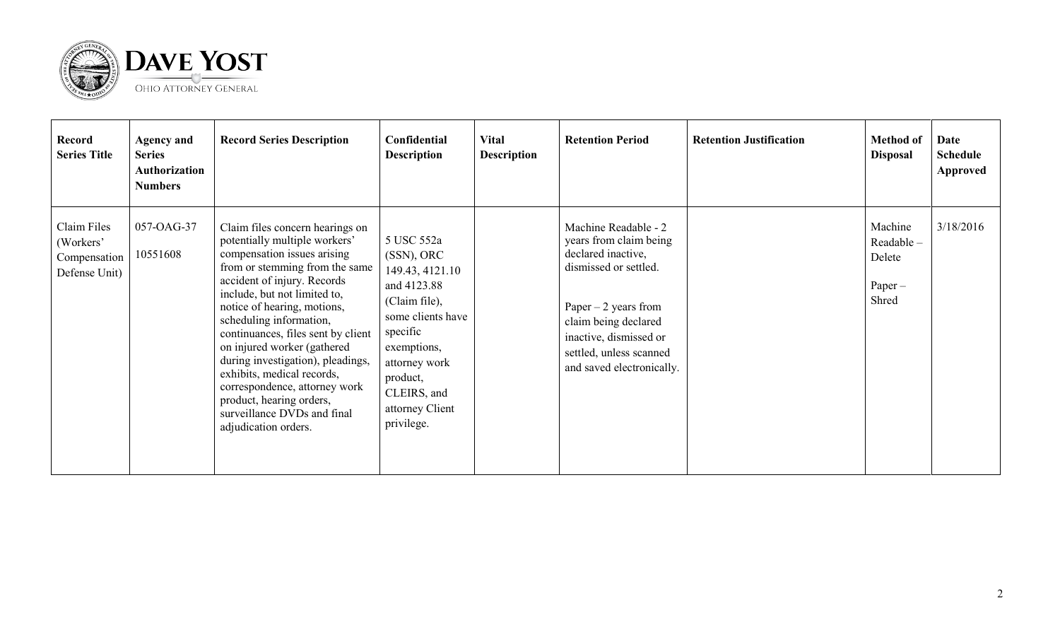

| <b>Record</b><br><b>Series Title</b>                      | <b>Agency and</b><br><b>Series</b><br>Authorization<br><b>Numbers</b> | <b>Record Series Description</b>                                                                                                                                                                                                                                                                                                                                                                                                                                                                                       | Confidential<br><b>Description</b>                                                                                                                                                                       | <b>Vital</b><br><b>Description</b> | <b>Retention Period</b>                                                                                                                                                                                                          | <b>Retention Justification</b> | <b>Method of</b><br><b>Disposal</b>                  | Date<br><b>Schedule</b><br><b>Approved</b> |
|-----------------------------------------------------------|-----------------------------------------------------------------------|------------------------------------------------------------------------------------------------------------------------------------------------------------------------------------------------------------------------------------------------------------------------------------------------------------------------------------------------------------------------------------------------------------------------------------------------------------------------------------------------------------------------|----------------------------------------------------------------------------------------------------------------------------------------------------------------------------------------------------------|------------------------------------|----------------------------------------------------------------------------------------------------------------------------------------------------------------------------------------------------------------------------------|--------------------------------|------------------------------------------------------|--------------------------------------------|
| Claim Files<br>(Workers'<br>Compensation<br>Defense Unit) | 057-OAG-37<br>10551608                                                | Claim files concern hearings on<br>potentially multiple workers'<br>compensation issues arising<br>from or stemming from the same<br>accident of injury. Records<br>include, but not limited to,<br>notice of hearing, motions,<br>scheduling information,<br>continuances, files sent by client<br>on injured worker (gathered<br>during investigation), pleadings,<br>exhibits, medical records,<br>correspondence, attorney work<br>product, hearing orders,<br>surveillance DVDs and final<br>adjudication orders. | 5 USC 552a<br>(SSN), ORC<br>149.43, 4121.10<br>and 4123.88<br>(Claim file),<br>some clients have<br>specific<br>exemptions,<br>attorney work<br>product,<br>CLEIRS, and<br>attorney Client<br>privilege. |                                    | Machine Readable - 2<br>years from claim being<br>declared inactive,<br>dismissed or settled.<br>Paper $-2$ years from<br>claim being declared<br>inactive, dismissed or<br>settled, unless scanned<br>and saved electronically. |                                | Machine<br>Readable-<br>Delete<br>$Paper -$<br>Shred | 3/18/2016                                  |